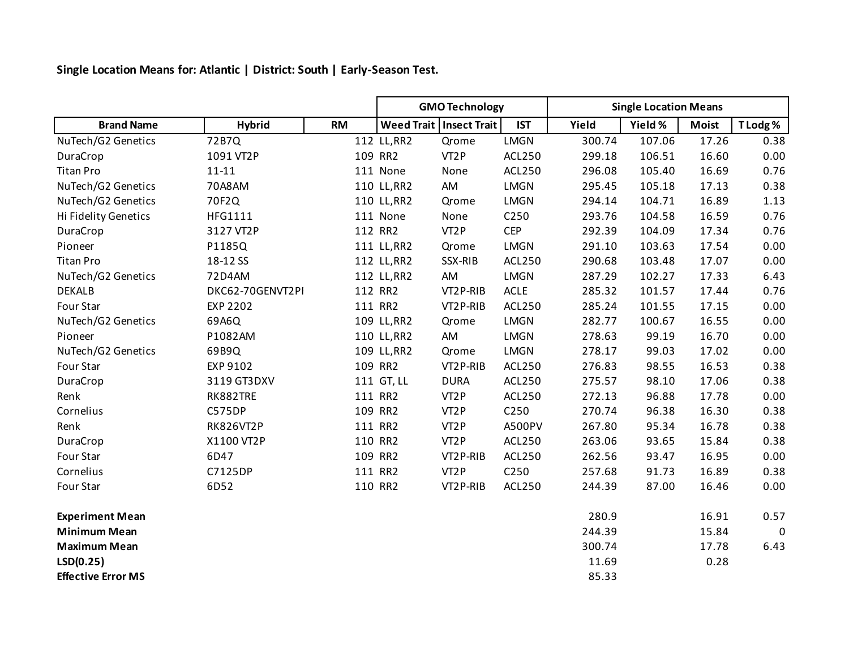**Single Location Means for: Atlantic | District: South | Early-Season Test.**

|                           |                  |           | <b>GMO Technology</b> |                           |               | <b>Single Location Means</b> |         |              |             |
|---------------------------|------------------|-----------|-----------------------|---------------------------|---------------|------------------------------|---------|--------------|-------------|
| <b>Brand Name</b>         | <b>Hybrid</b>    | <b>RM</b> |                       | Weed Trait   Insect Trait | <b>IST</b>    | Yield                        | Yield % | <b>Moist</b> | T Lodg%     |
| NuTech/G2 Genetics        | 72B7Q            |           | 112 LL, RR2           | Qrome                     | LMGN          | 300.74                       | 107.06  | 17.26        | 0.38        |
| DuraCrop                  | 1091 VT2P        |           | 109 RR2               | VT <sub>2</sub> P         | ACL250        | 299.18                       | 106.51  | 16.60        | 0.00        |
| <b>Titan Pro</b>          | $11 - 11$        |           | 111 None              | None                      | ACL250        | 296.08                       | 105.40  | 16.69        | 0.76        |
| NuTech/G2 Genetics        | 70A8AM           |           | 110 LL, RR2           | AM                        | <b>LMGN</b>   | 295.45                       | 105.18  | 17.13        | 0.38        |
| NuTech/G2 Genetics        | 70F2Q            |           | 110 LL, RR2           | Qrome                     | LMGN          | 294.14                       | 104.71  | 16.89        | 1.13        |
| Hi Fidelity Genetics      | HFG1111          |           | 111 None              | None                      | C250          | 293.76                       | 104.58  | 16.59        | 0.76        |
| DuraCrop                  | 3127 VT2P        |           | 112 RR2               | VT <sub>2</sub> P         | <b>CEP</b>    | 292.39                       | 104.09  | 17.34        | 0.76        |
| Pioneer                   | P1185Q           |           | 111 LL, RR2           | Qrome                     | <b>LMGN</b>   | 291.10                       | 103.63  | 17.54        | 0.00        |
| <b>Titan Pro</b>          | 18-12 SS         |           | 112 LL, RR2           | SSX-RIB                   | <b>ACL250</b> | 290.68                       | 103.48  | 17.07        | 0.00        |
| NuTech/G2 Genetics        | 72D4AM           |           | 112 LL, RR2           | AM                        | LMGN          | 287.29                       | 102.27  | 17.33        | 6.43        |
| <b>DEKALB</b>             | DKC62-70GENVT2PI |           | 112 RR2               | VT2P-RIB                  | <b>ACLE</b>   | 285.32                       | 101.57  | 17.44        | 0.76        |
| Four Star                 | <b>EXP 2202</b>  |           | 111 RR2               | VT2P-RIB                  | ACL250        | 285.24                       | 101.55  | 17.15        | 0.00        |
| NuTech/G2 Genetics        | 69A6Q            |           | 109 LL, RR2           | Qrome                     | <b>LMGN</b>   | 282.77                       | 100.67  | 16.55        | 0.00        |
| Pioneer                   | P1082AM          |           | 110 LL, RR2           | AM                        | LMGN          | 278.63                       | 99.19   | 16.70        | 0.00        |
| NuTech/G2 Genetics        | 69B9Q            |           | 109 LL, RR2           | Qrome                     | LMGN          | 278.17                       | 99.03   | 17.02        | 0.00        |
| Four Star                 | EXP 9102         |           | 109 RR2               | VT2P-RIB                  | ACL250        | 276.83                       | 98.55   | 16.53        | 0.38        |
| DuraCrop                  | 3119 GT3DXV      |           | 111 GT, LL            | <b>DURA</b>               | ACL250        | 275.57                       | 98.10   | 17.06        | 0.38        |
| Renk                      | RK882TRE         |           | 111 RR2               | VT <sub>2</sub> P         | <b>ACL250</b> | 272.13                       | 96.88   | 17.78        | 0.00        |
| Cornelius                 | <b>C575DP</b>    |           | 109 RR2               | VT <sub>2</sub> P         | C250          | 270.74                       | 96.38   | 16.30        | 0.38        |
| Renk                      | <b>RK826VT2P</b> |           | 111 RR2               | VT <sub>2</sub> P         | A500PV        | 267.80                       | 95.34   | 16.78        | 0.38        |
| DuraCrop                  | X1100 VT2P       |           | 110 RR2               | VT <sub>2</sub> P         | ACL250        | 263.06                       | 93.65   | 15.84        | 0.38        |
| Four Star                 | 6D47             |           | 109 RR2               | VT2P-RIB                  | <b>ACL250</b> | 262.56                       | 93.47   | 16.95        | 0.00        |
| Cornelius                 | C7125DP          |           | 111 RR2               | VT <sub>2</sub> P         | C250          | 257.68                       | 91.73   | 16.89        | 0.38        |
| Four Star                 | 6D52             |           | 110 RR2               | VT2P-RIB                  | ACL250        | 244.39                       | 87.00   | 16.46        | 0.00        |
| <b>Experiment Mean</b>    |                  |           |                       |                           |               | 280.9                        |         | 16.91        | 0.57        |
| <b>Minimum Mean</b>       |                  |           |                       |                           |               | 244.39                       |         | 15.84        | $\mathbf 0$ |
| <b>Maximum Mean</b>       |                  |           |                       |                           |               | 300.74                       |         | 17.78        | 6.43        |
| LSD(0.25)                 |                  |           |                       |                           |               | 11.69                        |         | 0.28         |             |
| <b>Effective Error MS</b> |                  |           |                       |                           |               | 85.33                        |         |              |             |